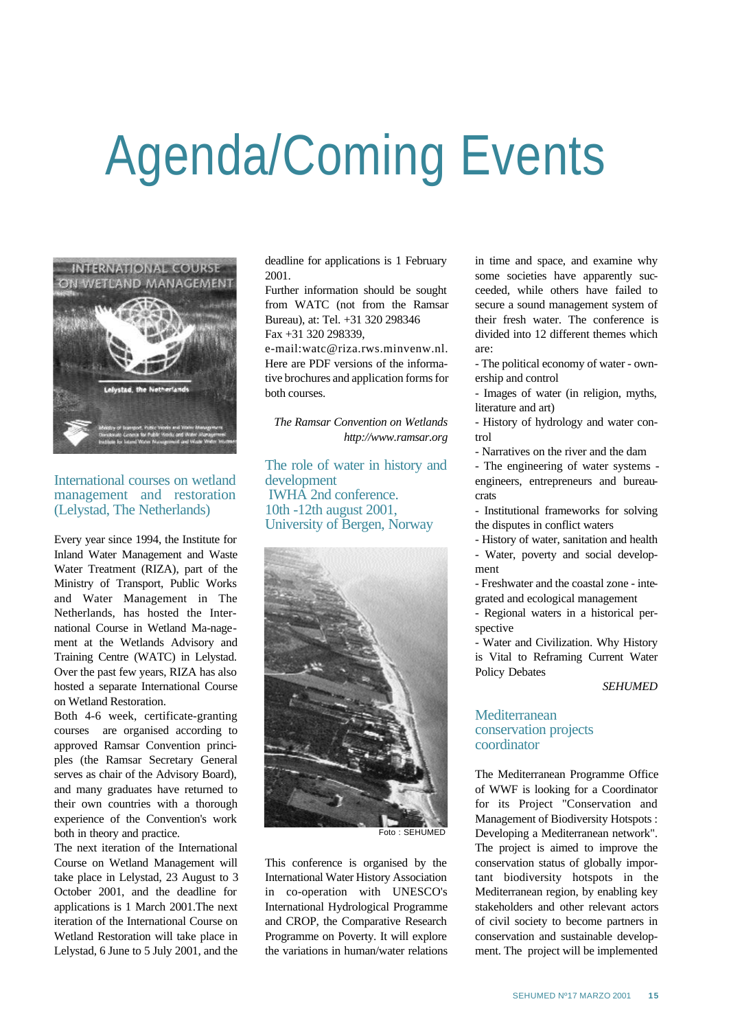## Agenda/Coming Events



International courses on wetland management and restoration (Lelystad, The Netherlands)

Every year since 1994, the Institute for Inland Water Management and Waste Water Treatment (RIZA), part of the Ministry of Transport, Public Works and Water Management in The Netherlands, has hosted the International Course in Wetland Ma-nagement at the Wetlands Advisory and Training Centre (WATC) in Lelystad. Over the past few years, RIZA has also hosted a separate International Course on Wetland Restoration.

Both 4-6 week, certificate-granting courses are organised according to approved Ramsar Convention principles (the Ramsar Secretary General serves as chair of the Advisory Board), and many graduates have returned to their own countries with a thorough experience of the Convention's work both in theory and practice.

The next iteration of the International Course on Wetland Management will take place in Lelystad, 23 August to 3 October 2001, and the deadline for applications is 1 March 2001.The next iteration of the International Course on Wetland Restoration will take place in Lelystad, 6 June to 5 July 2001, and the

deadline for applications is 1 February 2001.

Further information should be sought from WATC (not from the Ramsar Bureau), at: Tel. +31 320 298346 Fax +31 320 298339,

e-mail:watc@riza.rws.minvenw.nl. Here are PDF versions of the informative brochures and application forms for both courses.

*The Ramsar Convention on Wetlands http://www.ramsar.org* 

The role of water in history and development IWHA 2nd conference. 10th -12th august 2001, University of Bergen, Norway



Foto : SEHUMED

This conference is organised by the International Water History Association in co-operation with UNESCO's International Hydrological Programme and CROP, the Comparative Research Programme on Poverty. It will explore the variations in human/water relations in time and space, and examine why some societies have apparently succeeded, while others have failed to secure a sound management system of their fresh water. The conference is divided into 12 different themes which are:

- The political economy of water - ownership and control

- Images of water (in religion, myths, literature and art)

- History of hydrology and water control

- Narratives on the river and the dam

- The engineering of water systems engineers, entrepreneurs and bureaucrats

- Institutional frameworks for solving the disputes in conflict waters

- History of water, sanitation and health - Water, poverty and social development

- Freshwater and the coastal zone - integrated and ecological management

- Regional waters in a historical perspective

- Water and Civilization. Why History is Vital to Reframing Current Water Policy Debates

*SEHUMED*

## Mediterranean conservation projects coordinator

The Mediterranean Programme Office of WWF is looking for a Coordinator for its Project "Conservation and Management of Biodiversity Hotspots : Developing a Mediterranean network". The project is aimed to improve the conservation status of globally important biodiversity hotspots in the Mediterranean region, by enabling key stakeholders and other relevant actors of civil society to become partners in conservation and sustainable development. The project will be implemented